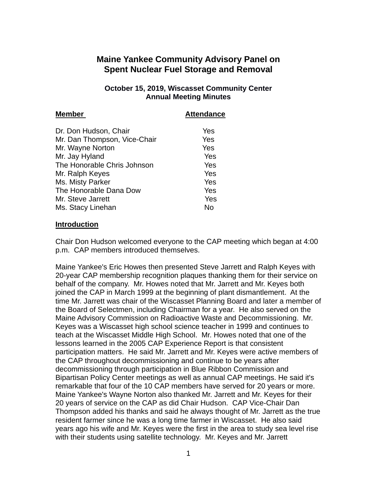# **Maine Yankee Community Advisory Panel on Spent Nuclear Fuel Storage and Removal**

#### **October 15, 2019, Wiscasset Community Center Annual Meeting Minutes**

| <b>Attendance</b> |
|-------------------|
| Yes               |
| Yes               |
| Yes               |
| Yes               |
| Yes               |
| Yes               |
| Yes               |
| Yes               |
| Yes               |
| No                |
|                   |

#### **Introduction**

Chair Don Hudson welcomed everyone to the CAP meeting which began at 4:00 p.m. CAP members introduced themselves.

Maine Yankee's Eric Howes then presented Steve Jarrett and Ralph Keyes with 20-year CAP membership recognition plaques thanking them for their service on behalf of the company. Mr. Howes noted that Mr. Jarrett and Mr. Keyes both joined the CAP in March 1999 at the beginning of plant dismantlement. At the time Mr. Jarrett was chair of the Wiscasset Planning Board and later a member of the Board of Selectmen, including Chairman for a year. He also served on the Maine Advisory Commission on Radioactive Waste and Decommissioning. Mr. Keyes was a Wiscasset high school science teacher in 1999 and continues to teach at the Wiscasset Middle High School. Mr. Howes noted that one of the lessons learned in the 2005 CAP Experience Report is that consistent participation matters. He said Mr. Jarrett and Mr. Keyes were active members of the CAP throughout decommissioning and continue to be years after decommissioning through participation in Blue Ribbon Commission and Bipartisan Policy Center meetings as well as annual CAP meetings. He said it's remarkable that four of the 10 CAP members have served for 20 years or more. Maine Yankee's Wayne Norton also thanked Mr. Jarrett and Mr. Keyes for their 20 years of service on the CAP as did Chair Hudson. CAP Vice-Chair Dan Thompson added his thanks and said he always thought of Mr. Jarrett as the true resident farmer since he was a long time farmer in Wiscasset. He also said years ago his wife and Mr. Keyes were the first in the area to study sea level rise with their students using satellite technology. Mr. Keyes and Mr. Jarrett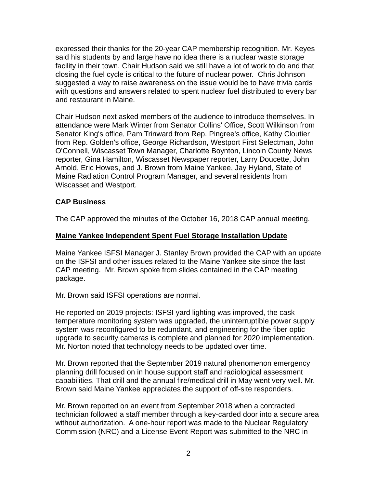expressed their thanks for the 20-year CAP membership recognition. Mr. Keyes said his students by and large have no idea there is a nuclear waste storage facility in their town. Chair Hudson said we still have a lot of work to do and that closing the fuel cycle is critical to the future of nuclear power. Chris Johnson suggested a way to raise awareness on the issue would be to have trivia cards with questions and answers related to spent nuclear fuel distributed to every bar and restaurant in Maine.

Chair Hudson next asked members of the audience to introduce themselves. In attendance were Mark Winter from Senator Collins' Office, Scott Wilkinson from Senator King's office, Pam Trinward from Rep. Pingree's office, Kathy Cloutier from Rep. Golden's office, George Richardson, Westport First Selectman, John O'Connell, Wiscasset Town Manager, Charlotte Boynton, Lincoln County News reporter, Gina Hamilton, Wiscasset Newspaper reporter, Larry Doucette, John Arnold, Eric Howes, and J. Brown from Maine Yankee, Jay Hyland, State of Maine Radiation Control Program Manager, and several residents from Wiscasset and Westport.

# **CAP Business**

The CAP approved the minutes of the October 16, 2018 CAP annual meeting.

#### **Maine Yankee Independent Spent Fuel Storage Installation Update**

Maine Yankee ISFSI Manager J. Stanley Brown provided the CAP with an update on the ISFSI and other issues related to the Maine Yankee site since the last CAP meeting. Mr. Brown spoke from slides contained in the CAP meeting package.

Mr. Brown said ISFSI operations are normal.

He reported on 2019 projects: ISFSI yard lighting was improved, the cask temperature monitoring system was upgraded, the uninterruptible power supply system was reconfigured to be redundant, and engineering for the fiber optic upgrade to security cameras is complete and planned for 2020 implementation. Mr. Norton noted that technology needs to be updated over time.

Mr. Brown reported that the September 2019 natural phenomenon emergency planning drill focused on in house support staff and radiological assessment capabilities. That drill and the annual fire/medical drill in May went very well. Mr. Brown said Maine Yankee appreciates the support of off-site responders.

Mr. Brown reported on an event from September 2018 when a contracted technician followed a staff member through a key-carded door into a secure area without authorization. A one-hour report was made to the Nuclear Regulatory Commission (NRC) and a License Event Report was submitted to the NRC in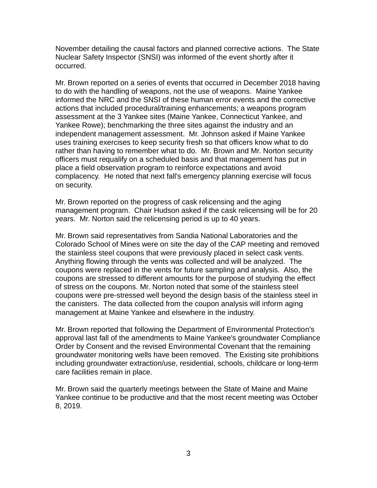November detailing the causal factors and planned corrective actions. The State Nuclear Safety Inspector (SNSI) was informed of the event shortly after it occurred.

Mr. Brown reported on a series of events that occurred in December 2018 having to do with the handling of weapons, not the use of weapons. Maine Yankee informed the NRC and the SNSI of these human error events and the corrective actions that included procedural/training enhancements; a weapons program assessment at the 3 Yankee sites (Maine Yankee, Connecticut Yankee, and Yankee Rowe); benchmarking the three sites against the industry and an independent management assessment. Mr. Johnson asked if Maine Yankee uses training exercises to keep security fresh so that officers know what to do rather than having to remember what to do. Mr. Brown and Mr. Norton security officers must requalify on a scheduled basis and that management has put in place a field observation program to reinforce expectations and avoid complacency. He noted that next fall's emergency planning exercise will focus on security.

Mr. Brown reported on the progress of cask relicensing and the aging management program. Chair Hudson asked if the cask relicensing will be for 20 years. Mr. Norton said the relicensing period is up to 40 years.

Mr. Brown said representatives from Sandia National Laboratories and the Colorado School of Mines were on site the day of the CAP meeting and removed the stainless steel coupons that were previously placed in select cask vents. Anything flowing through the vents was collected and will be analyzed. The coupons were replaced in the vents for future sampling and analysis. Also, the coupons are stressed to different amounts for the purpose of studying the effect of stress on the coupons. Mr. Norton noted that some of the stainless steel coupons were pre-stressed well beyond the design basis of the stainless steel in the canisters. The data collected from the coupon analysis will inform aging management at Maine Yankee and elsewhere in the industry.

Mr. Brown reported that following the Department of Environmental Protection's approval last fall of the amendments to Maine Yankee's groundwater Compliance Order by Consent and the revised Environmental Covenant that the remaining groundwater monitoring wells have been removed. The Existing site prohibitions including groundwater extraction/use, residential, schools, childcare or long-term care facilities remain in place.

Mr. Brown said the quarterly meetings between the State of Maine and Maine Yankee continue to be productive and that the most recent meeting was October 8, 2019.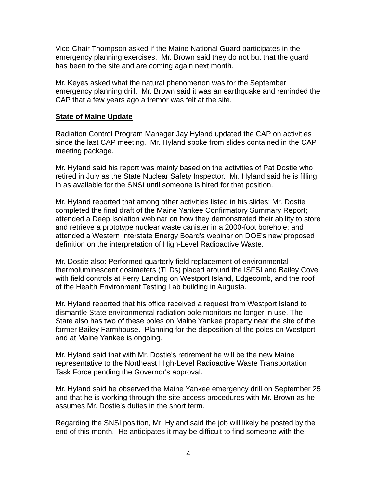Vice-Chair Thompson asked if the Maine National Guard participates in the emergency planning exercises. Mr. Brown said they do not but that the guard has been to the site and are coming again next month.

Mr. Keyes asked what the natural phenomenon was for the September emergency planning drill. Mr. Brown said it was an earthquake and reminded the CAP that a few years ago a tremor was felt at the site.

### **State of Maine Update**

Radiation Control Program Manager Jay Hyland updated the CAP on activities since the last CAP meeting. Mr. Hyland spoke from slides contained in the CAP meeting package.

Mr. Hyland said his report was mainly based on the activities of Pat Dostie who retired in July as the State Nuclear Safety Inspector. Mr. Hyland said he is filling in as available for the SNSI until someone is hired for that position.

Mr. Hyland reported that among other activities listed in his slides: Mr. Dostie completed the final draft of the Maine Yankee Confirmatory Summary Report; attended a Deep Isolation webinar on how they demonstrated their ability to store and retrieve a prototype nuclear waste canister in a 2000-foot borehole; and attended a Western Interstate Energy Board's webinar on DOE's new proposed definition on the interpretation of High-Level Radioactive Waste.

Mr. Dostie also: Performed quarterly field replacement of environmental thermoluminescent dosimeters (TLDs) placed around the ISFSI and Bailey Cove with field controls at Ferry Landing on Westport Island, Edgecomb, and the roof of the Health Environment Testing Lab building in Augusta.

Mr. Hyland reported that his office received a request from Westport Island to dismantle State environmental radiation pole monitors no longer in use. The State also has two of these poles on Maine Yankee property near the site of the former Bailey Farmhouse. Planning for the disposition of the poles on Westport and at Maine Yankee is ongoing.

Mr. Hyland said that with Mr. Dostie's retirement he will be the new Maine representative to the Northeast High-Level Radioactive Waste Transportation Task Force pending the Governor's approval.

Mr. Hyland said he observed the Maine Yankee emergency drill on September 25 and that he is working through the site access procedures with Mr. Brown as he assumes Mr. Dostie's duties in the short term.

Regarding the SNSI position, Mr. Hyland said the job will likely be posted by the end of this month. He anticipates it may be difficult to find someone with the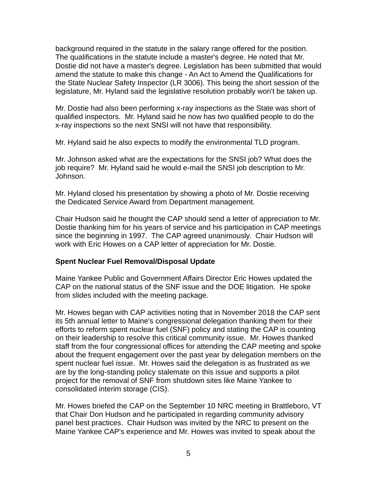background required in the statute in the salary range offered for the position. The qualifications in the statute include a master's degree. He noted that Mr. Dostie did not have a master's degree. Legislation has been submitted that would amend the statute to make this change - An Act to Amend the Qualifications for the State Nuclear Safety Inspector (LR 3006). This being the short session of the legislature, Mr. Hyland said the legislative resolution probably won't be taken up.

Mr. Dostie had also been performing x-ray inspections as the State was short of qualified inspectors. Mr. Hyland said he now has two qualified people to do the x-ray inspections so the next SNSI will not have that responsibility.

Mr. Hyland said he also expects to modify the environmental TLD program.

Mr. Johnson asked what are the expectations for the SNSI job? What does the job require? Mr. Hyland said he would e-mail the SNSI job description to Mr. Johnson.

Mr. Hyland closed his presentation by showing a photo of Mr. Dostie receiving the Dedicated Service Award from Department management.

Chair Hudson said he thought the CAP should send a letter of appreciation to Mr. Dostie thanking him for his years of service and his participation in CAP meetings since the beginning in 1997. The CAP agreed unanimously. Chair Hudson will work with Eric Howes on a CAP letter of appreciation for Mr. Dostie.

# **Spent Nuclear Fuel Removal/Disposal Update**

Maine Yankee Public and Government Affairs Director Eric Howes updated the CAP on the national status of the SNF issue and the DOE litigation. He spoke from slides included with the meeting package.

Mr. Howes began with CAP activities noting that in November 2018 the CAP sent its 5th annual letter to Maine's congressional delegation thanking them for their efforts to reform spent nuclear fuel (SNF) policy and stating the CAP is counting on their leadership to resolve this critical community issue. Mr. Howes thanked staff from the four congressional offices for attending the CAP meeting and spoke about the frequent engagement over the past year by delegation members on the spent nuclear fuel issue. Mr. Howes said the delegation is as frustrated as we are by the long-standing policy stalemate on this issue and supports a pilot project for the removal of SNF from shutdown sites like Maine Yankee to consolidated interim storage (CIS).

Mr. Howes briefed the CAP on the September 10 NRC meeting in Brattleboro, VT that Chair Don Hudson and he participated in regarding community advisory panel best practices. Chair Hudson was invited by the NRC to present on the Maine Yankee CAP's experience and Mr. Howes was invited to speak about the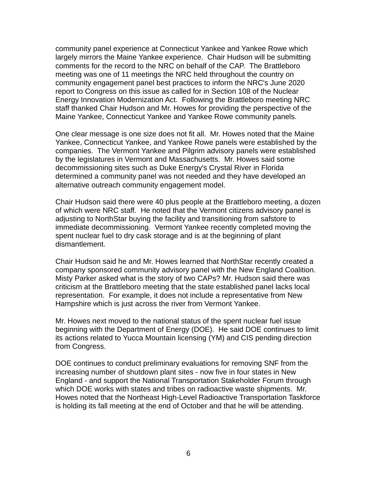community panel experience at Connecticut Yankee and Yankee Rowe which largely mirrors the Maine Yankee experience. Chair Hudson will be submitting comments for the record to the NRC on behalf of the CAP. The Brattleboro meeting was one of 11 meetings the NRC held throughout the country on community engagement panel best practices to inform the NRC's June 2020 report to Congress on this issue as called for in Section 108 of the Nuclear Energy Innovation Modernization Act. Following the Brattleboro meeting NRC staff thanked Chair Hudson and Mr. Howes for providing the perspective of the Maine Yankee, Connecticut Yankee and Yankee Rowe community panels.

One clear message is one size does not fit all. Mr. Howes noted that the Maine Yankee, Connecticut Yankee, and Yankee Rowe panels were established by the companies. The Vermont Yankee and Pilgrim advisory panels were established by the legislatures in Vermont and Massachusetts. Mr. Howes said some decommissioning sites such as Duke Energy's Crystal River in Florida determined a community panel was not needed and they have developed an alternative outreach community engagement model.

Chair Hudson said there were 40 plus people at the Brattleboro meeting, a dozen of which were NRC staff. He noted that the Vermont citizens advisory panel is adjusting to NorthStar buying the facility and transitioning from safstore to immediate decommissioning. Vermont Yankee recently completed moving the spent nuclear fuel to dry cask storage and is at the beginning of plant dismantlement.

Chair Hudson said he and Mr. Howes learned that NorthStar recently created a company sponsored community advisory panel with the New England Coalition. Misty Parker asked what is the story of two CAPs? Mr. Hudson said there was criticism at the Brattleboro meeting that the state established panel lacks local representation. For example, it does not include a representative from New Hampshire which is just across the river from Vermont Yankee.

Mr. Howes next moved to the national status of the spent nuclear fuel issue beginning with the Department of Energy (DOE). He said DOE continues to limit its actions related to Yucca Mountain licensing (YM) and CIS pending direction from Congress.

DOE continues to conduct preliminary evaluations for removing SNF from the increasing number of shutdown plant sites - now five in four states in New England - and support the National Transportation Stakeholder Forum through which DOE works with states and tribes on radioactive waste shipments. Mr. Howes noted that the Northeast High-Level Radioactive Transportation Taskforce is holding its fall meeting at the end of October and that he will be attending.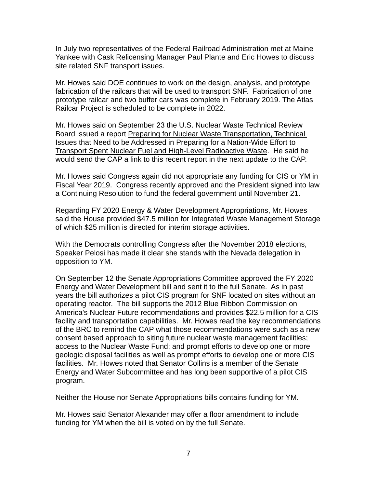In July two representatives of the Federal Railroad Administration met at Maine Yankee with Cask Relicensing Manager Paul Plante and Eric Howes to discuss site related SNF transport issues.

Mr. Howes said DOE continues to work on the design, analysis, and prototype fabrication of the railcars that will be used to transport SNF. Fabrication of one prototype railcar and two buffer cars was complete in February 2019. The Atlas Railcar Project is scheduled to be complete in 2022.

Mr. Howes said on September 23 the U.S. Nuclear Waste Technical Review Board issued a report Preparing for Nuclear Waste Transportation, Technical Issues that Need to be Addressed in Preparing for a Nation-Wide Effort to Transport Spent Nuclear Fuel and High-Level Radioactive Waste. He said he would send the CAP a link to this recent report in the next update to the CAP.

Mr. Howes said Congress again did not appropriate any funding for CIS or YM in Fiscal Year 2019. Congress recently approved and the President signed into law a Continuing Resolution to fund the federal government until November 21.

Regarding FY 2020 Energy & Water Development Appropriations, Mr. Howes said the House provided \$47.5 million for Integrated Waste Management Storage of which \$25 million is directed for interim storage activities.

With the Democrats controlling Congress after the November 2018 elections, Speaker Pelosi has made it clear she stands with the Nevada delegation in opposition to YM.

On September 12 the Senate Appropriations Committee approved the FY 2020 Energy and Water Development bill and sent it to the full Senate. As in past years the bill authorizes a pilot CIS program for SNF located on sites without an operating reactor. The bill supports the 2012 Blue Ribbon Commission on America's Nuclear Future recommendations and provides \$22.5 million for a CIS facility and transportation capabilities. Mr. Howes read the key recommendations of the BRC to remind the CAP what those recommendations were such as a new consent based approach to siting future nuclear waste management facilities; access to the Nuclear Waste Fund; and prompt efforts to develop one or more geologic disposal facilities as well as prompt efforts to develop one or more CIS facilities. Mr. Howes noted that Senator Collins is a member of the Senate Energy and Water Subcommittee and has long been supportive of a pilot CIS program.

Neither the House nor Senate Appropriations bills contains funding for YM.

Mr. Howes said Senator Alexander may offer a floor amendment to include funding for YM when the bill is voted on by the full Senate.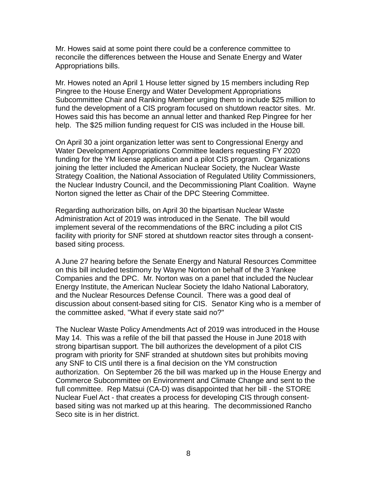Mr. Howes said at some point there could be a conference committee to reconcile the differences between the House and Senate Energy and Water Appropriations bills.

Mr. Howes noted an April 1 House letter signed by 15 members including Rep Pingree to the House Energy and Water Development Appropriations Subcommittee Chair and Ranking Member urging them to include \$25 million to fund the development of a CIS program focused on shutdown reactor sites. Mr. Howes said this has become an annual letter and thanked Rep Pingree for her help. The \$25 million funding request for CIS was included in the House bill.

On April 30 a joint organization letter was sent to Congressional Energy and Water Development Appropriations Committee leaders requesting FY 2020 funding for the YM license application and a pilot CIS program. Organizations joining the letter included the American Nuclear Society, the Nuclear Waste Strategy Coalition, the National Association of Regulated Utility Commissioners, the Nuclear Industry Council, and the Decommissioning Plant Coalition. Wayne Norton signed the letter as Chair of the DPC Steering Committee.

Regarding authorization bills, on April 30 the bipartisan Nuclear Waste Administration Act of 2019 was introduced in the Senate. The bill would implement several of the recommendations of the BRC including a pilot CIS facility with priority for SNF stored at shutdown reactor sites through a consentbased siting process.

A June 27 hearing before the Senate Energy and Natural Resources Committee on this bill included testimony by Wayne Norton on behalf of the 3 Yankee Companies and the DPC. Mr. Norton was on a panel that included the Nuclear Energy Institute, the American Nuclear Society the Idaho National Laboratory, and the Nuclear Resources Defense Council. There was a good deal of discussion about consent-based siting for CIS. Senator King who is a member of the committee asked, "What if every state said no?"

The Nuclear Waste Policy Amendments Act of 2019 was introduced in the House May 14. This was a refile of the bill that passed the House in June 2018 with strong bipartisan support. The bill authorizes the development of a pilot CIS program with priority for SNF stranded at shutdown sites but prohibits moving any SNF to CIS until there is a final decision on the YM construction authorization. On September 26 the bill was marked up in the House Energy and Commerce Subcommittee on Environment and Climate Change and sent to the full committee. Rep Matsui (CA-D) was disappointed that her bill - the STORE Nuclear Fuel Act - that creates a process for developing CIS through consentbased siting was not marked up at this hearing. The decommissioned Rancho Seco site is in her district.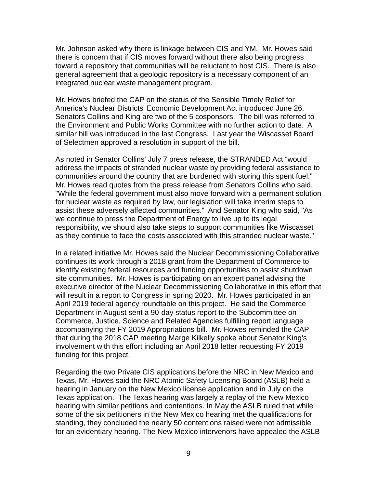Mr. Johnson asked why there is linkage between CIS and YM. Mr. Howes said there is concern that if CIS moves forward without there also being progress toward a repository that communities will be reluctant to host CIS. There is also general agreement that a geologic repository is a necessary component of an integrated nuclear waste management program.

Mr. Howes briefed the CAP on the status of the Sensible Timely Relief for America's Nuclear Districts' Economic Development Act introduced June 26. Senators Collins and King are two of the 5 cosponsors. The bill was referred to the Environment and Public Works Committee with no further action to date. A similar bill was introduced in the last Congress. Last year the Wiscasset Board of Selectmen approved a resolution in support of the bill.

As noted in Senator Collins' July 7 press release, the STRANDED Act "would address the impacts of stranded nuclear waste by providing federal assistance to communities around the country that are burdened with storing this spent fuel." Mr. Howes read quotes from the press release from Senators Collins who said, "While the federal government must also move forward with a permanent solution for nuclear waste as required by law, our legislation will take interim steps to assist these adversely affected communities." And Senator King who said, "As we continue to press the Department of Energy to live up to its legal responsibility, we should also take steps to support communities like Wiscasset as they continue to face the costs associated with this stranded nuclear waste."

In a related initiative Mr. Howes said the Nuclear Decommissioning Collaborative continues its work through a 2018 grant from the Department of Commerce to identify existing federal resources and funding opportunities to assist shutdown site communities. Mr. Howes is participating on an expert panel advising the executive director of the Nuclear Decommissioning Collaborative in this effort that will result in a report to Congress in spring 2020. Mr. Howes participated in an April 2019 federal agency roundtable on this project. He said the Commerce Department in August sent a 90-day status report to the Subcommittee on Commerce, Justice, Science and Related Agencies fulfilling report language accompanying the FY 2019 Appropriations bill. Mr. Howes reminded the CAP that during the 2018 CAP meeting Marge Kilkelly spoke about Senator King's involvement with this effort including an April 2018 letter requesting FY 2019 funding for this project.

Regarding the two Private CIS applications before the NRC in New Mexico and Texas, Mr. Howes said the NRC Atomic Safety Licensing Board (ASLB) held a hearing in January on the New Mexico license application and in July on the Texas application. The Texas hearing was largely a replay of the New Mexico hearing with similar petitions and contentions. In May the ASLB ruled that while some of the six petitioners in the New Mexico hearing met the qualifications for standing, they concluded the nearly 50 contentions raised were not admissible for an evidentiary hearing. The New Mexico intervenors have appealed the ASLB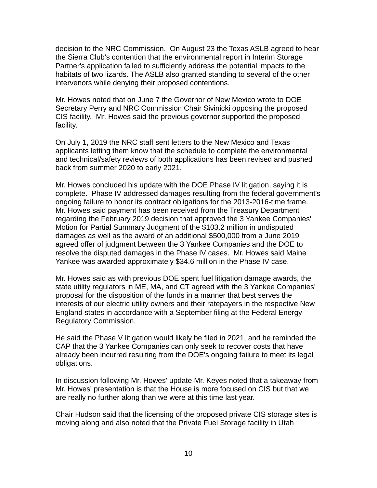decision to the NRC Commission. On August 23 the Texas ASLB agreed to hear the Sierra Club's contention that the environmental report in Interim Storage Partner's application failed to sufficiently address the potential impacts to the habitats of two lizards. The ASLB also granted standing to several of the other intervenors while denying their proposed contentions.

Mr. Howes noted that on June 7 the Governor of New Mexico wrote to DOE Secretary Perry and NRC Commission Chair Sivinicki opposing the proposed CIS facility. Mr. Howes said the previous governor supported the proposed facility.

On July 1, 2019 the NRC staff sent letters to the New Mexico and Texas applicants letting them know that the schedule to complete the environmental and technical/safety reviews of both applications has been revised and pushed back from summer 2020 to early 2021.

Mr. Howes concluded his update with the DOE Phase IV litigation, saying it is complete. Phase IV addressed damages resulting from the federal government's ongoing failure to honor its contract obligations for the 2013-2016-time frame. Mr. Howes said payment has been received from the Treasury Department regarding the February 2019 decision that approved the 3 Yankee Companies' Motion for Partial Summary Judgment of the \$103.2 million in undisputed damages as well as the award of an additional \$500,000 from a June 2019 agreed offer of judgment between the 3 Yankee Companies and the DOE to resolve the disputed damages in the Phase IV cases. Mr. Howes said Maine Yankee was awarded approximately \$34.6 million in the Phase IV case.

Mr. Howes said as with previous DOE spent fuel litigation damage awards, the state utility regulators in ME, MA, and CT agreed with the 3 Yankee Companies' proposal for the disposition of the funds in a manner that best serves the interests of our electric utility owners and their ratepayers in the respective New England states in accordance with a September filing at the Federal Energy Regulatory Commission.

He said the Phase V litigation would likely be filed in 2021, and he reminded the CAP that the 3 Yankee Companies can only seek to recover costs that have already been incurred resulting from the DOE's ongoing failure to meet its legal obligations.

In discussion following Mr. Howes' update Mr. Keyes noted that a takeaway from Mr. Howes' presentation is that the House is more focused on CIS but that we are really no further along than we were at this time last year.

Chair Hudson said that the licensing of the proposed private CIS storage sites is moving along and also noted that the Private Fuel Storage facility in Utah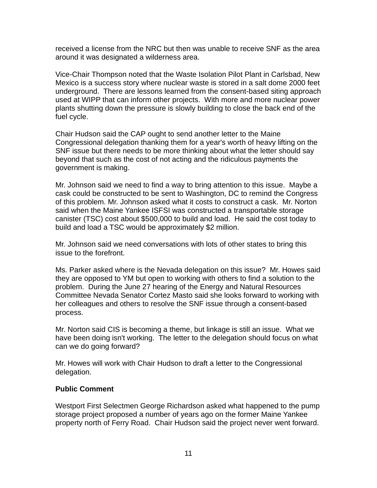received a license from the NRC but then was unable to receive SNF as the area around it was designated a wilderness area.

Vice-Chair Thompson noted that the Waste Isolation Pilot Plant in Carlsbad, New Mexico is a success story where nuclear waste is stored in a salt dome 2000 feet underground. There are lessons learned from the consent-based siting approach used at WIPP that can inform other projects. With more and more nuclear power plants shutting down the pressure is slowly building to close the back end of the fuel cycle.

Chair Hudson said the CAP ought to send another letter to the Maine Congressional delegation thanking them for a year's worth of heavy lifting on the SNF issue but there needs to be more thinking about what the letter should say beyond that such as the cost of not acting and the ridiculous payments the government is making.

Mr. Johnson said we need to find a way to bring attention to this issue. Maybe a cask could be constructed to be sent to Washington, DC to remind the Congress of this problem. Mr. Johnson asked what it costs to construct a cask. Mr. Norton said when the Maine Yankee ISFSI was constructed a transportable storage canister (TSC) cost about \$500,000 to build and load. He said the cost today to build and load a TSC would be approximately \$2 million.

Mr. Johnson said we need conversations with lots of other states to bring this issue to the forefront.

Ms. Parker asked where is the Nevada delegation on this issue? Mr. Howes said they are opposed to YM but open to working with others to find a solution to the problem. During the June 27 hearing of the Energy and Natural Resources Committee Nevada Senator Cortez Masto said she looks forward to working with her colleagues and others to resolve the SNF issue through a consent-based process.

Mr. Norton said CIS is becoming a theme, but linkage is still an issue. What we have been doing isn't working. The letter to the delegation should focus on what can we do going forward?

Mr. Howes will work with Chair Hudson to draft a letter to the Congressional delegation.

# **Public Comment**

Westport First Selectmen George Richardson asked what happened to the pump storage project proposed a number of years ago on the former Maine Yankee property north of Ferry Road. Chair Hudson said the project never went forward.